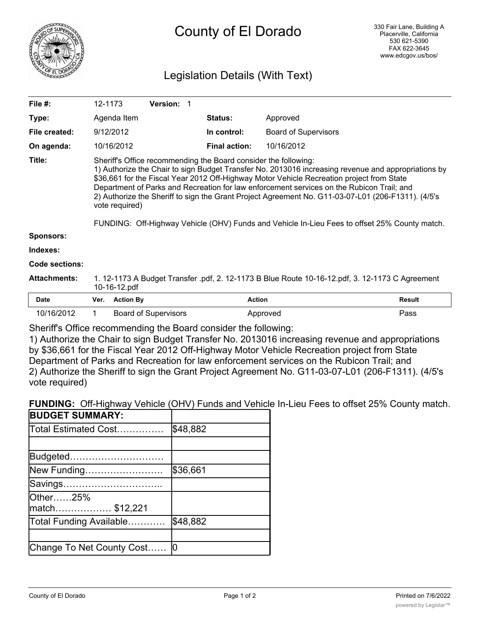

# County of El Dorado

# Legislation Details (With Text)

| File $#$ :            | 12-1173                                                                                                                                                                                                                                                                                                                                                                                                                                                                                                                                                                                   | <b>Version: 1</b> |                      |                             |               |
|-----------------------|-------------------------------------------------------------------------------------------------------------------------------------------------------------------------------------------------------------------------------------------------------------------------------------------------------------------------------------------------------------------------------------------------------------------------------------------------------------------------------------------------------------------------------------------------------------------------------------------|-------------------|----------------------|-----------------------------|---------------|
| Type:                 | Agenda Item                                                                                                                                                                                                                                                                                                                                                                                                                                                                                                                                                                               |                   | <b>Status:</b>       | Approved                    |               |
| File created:         | 9/12/2012                                                                                                                                                                                                                                                                                                                                                                                                                                                                                                                                                                                 |                   | In control:          | <b>Board of Supervisors</b> |               |
| On agenda:            | 10/16/2012                                                                                                                                                                                                                                                                                                                                                                                                                                                                                                                                                                                |                   | <b>Final action:</b> | 10/16/2012                  |               |
| Title:                | Sheriff's Office recommending the Board consider the following:<br>1) Authorize the Chair to sign Budget Transfer No. 2013016 increasing revenue and appropriations by<br>\$36,661 for the Fiscal Year 2012 Off-Highway Motor Vehicle Recreation project from State<br>Department of Parks and Recreation for law enforcement services on the Rubicon Trail; and<br>2) Authorize the Sheriff to sign the Grant Project Agreement No. G11-03-07-L01 (206-F1311). (4/5's<br>vote required)<br>FUNDING: Off-Highway Vehicle (OHV) Funds and Vehicle In-Lieu Fees to offset 25% County match. |                   |                      |                             |               |
| Sponsors:             |                                                                                                                                                                                                                                                                                                                                                                                                                                                                                                                                                                                           |                   |                      |                             |               |
| Indexes:              |                                                                                                                                                                                                                                                                                                                                                                                                                                                                                                                                                                                           |                   |                      |                             |               |
| <b>Code sections:</b> |                                                                                                                                                                                                                                                                                                                                                                                                                                                                                                                                                                                           |                   |                      |                             |               |
| <b>Attachments:</b>   | 1. 12-1173 A Budget Transfer .pdf, 2. 12-1173 B Blue Route 10-16-12.pdf, 3. 12-1173 C Agreement<br>10-16-12.pdf                                                                                                                                                                                                                                                                                                                                                                                                                                                                           |                   |                      |                             |               |
| <b>Date</b>           | <b>Action By</b><br>Ver.                                                                                                                                                                                                                                                                                                                                                                                                                                                                                                                                                                  |                   | <b>Action</b>        |                             | <b>Result</b> |

10/16/2012 1 Board of Supervisors **Approved** Approved Pass

Sheriff's Office recommending the Board consider the following:

1) Authorize the Chair to sign Budget Transfer No. 2013016 increasing revenue and appropriations by \$36,661 for the Fiscal Year 2012 Off-Highway Motor Vehicle Recreation project from State Department of Parks and Recreation for law enforcement services on the Rubicon Trail; and 2) Authorize the Sheriff to sign the Grant Project Agreement No. G11-03-07-L01 (206-F1311). (4/5's vote required)

**FUNDING:** Off-Highway Vehicle (OHV) Funds and Vehicle In-Lieu Fees to offset 25% County match.

| <b>BUDGET SUMMARY:</b>    |          |
|---------------------------|----------|
| Total Estimated Cost      | \$48,882 |
|                           |          |
| Budgeted                  |          |
| New Funding               | \$36,661 |
| Savings…………………………         |          |
| Other25%                  |          |
|                           |          |
| Total Funding Available   | \$48,882 |
|                           |          |
| Change To Net County Cost |          |